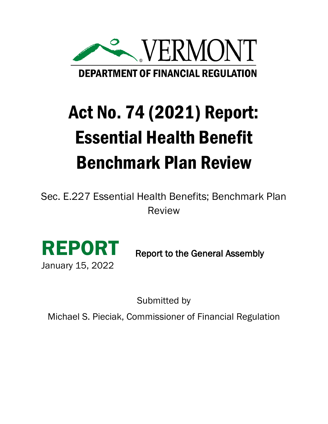

# Act No. 74 (2021) Report: Essential Health Benefit Benchmark Plan Review

Sec. E.227 Essential Health Benefits; Benchmark Plan Review



Report to the General Assembly

Submitted by

Michael S. Pieciak, Commissioner of Financial Regulation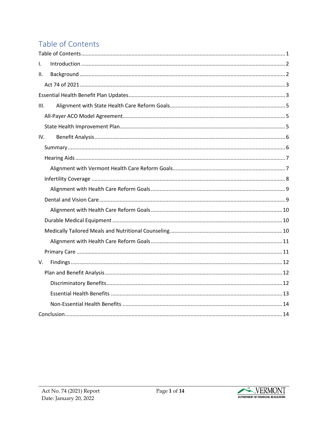# <span id="page-1-0"></span>Table of Contents

| $\mathsf{L}$ |
|--------------|
| Ш.           |
|              |
|              |
| III.         |
|              |
|              |
| IV.          |
|              |
|              |
|              |
|              |
|              |
|              |
|              |
|              |
|              |
|              |
|              |
| V.           |
|              |
|              |
|              |
|              |
|              |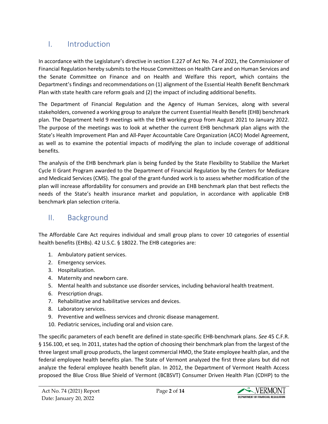# <span id="page-2-0"></span>I. Introduction

In accordance with the Legislature's directive in section E.227 of Act No. 74 of 2021, the Commissioner of Financial Regulation hereby submits to the House Committees on Health Care and on Human Services and the Senate Committee on Finance and on Health and Welfare this report, which contains the Department's findings and recommendations on (1) alignment of the Essential Health Benefit Benchmark Plan with state health care reform goals and (2) the impact of including additional benefits.

The Department of Financial Regulation and the Agency of Human Services, along with several stakeholders, convened a working group to analyze the current Essential Health Benefit (EHB) benchmark plan. The Department held 9 meetings with the EHB working group from August 2021 to January 2022. The purpose of the meetings was to look at whether the current EHB benchmark plan aligns with the State's Health Improvement Plan and All-Payer Accountable Care Organization (ACO) Model Agreement, as well as to examine the potential impacts of modifying the plan to include coverage of additional benefits.

The analysis of the EHB benchmark plan is being funded by the State Flexibility to Stabilize the Market Cycle II Grant Program awarded to the Department of Financial Regulation by the Centers for Medicare and Medicaid Services (CMS). The goal of the grant-funded work is to assess whether modification of the plan will increase affordability for consumers and provide an EHB benchmark plan that best reflects the needs of the State's health insurance market and population, in accordance with applicable EHB benchmark plan selection criteria.

### <span id="page-2-1"></span>II. Background

The Affordable Care Act requires individual and small group plans to cover 10 categories of essential health benefits (EHBs). 42 U.S.C. § 18022. The EHB categories are:

- 1. Ambulatory patient services.
- 2. Emergency services.
- 3. Hospitalization.
- 4. Maternity and newborn care.
- 5. Mental health and substance use disorder services, including behavioral health treatment.
- 6. Prescription drugs.
- 7. Rehabilitative and habilitative services and devices.
- 8. Laboratory services.
- 9. Preventive and wellness services and chronic disease management.
- 10. Pediatric services, including oral and vision care.

The specific parameters of each benefit are defined in state-specific EHB-benchmark plans. *See* 45 C.F.R. § 156.100, et seq. In 2011, states had the option of choosing their benchmark plan from the largest of the three largest small group products, the largest commercial HMO, the State employee health plan, and the federal employee health benefits plan. The State of Vermont analyzed the first three plans but did not analyze the federal employee health benefit plan. In 2012, the Department of Vermont Health Access proposed the Blue Cross Blue Shield of Vermont (BCBSVT) Consumer Driven Health Plan (CDHP) to the

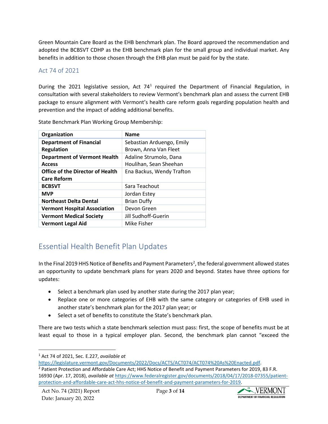Green Mountain Care Board as the EHB benchmark plan. The Board approved the recommendation and adopted the BCBSVT CDHP as the EHB benchmark plan for the small group and individual market. Any benefits in addition to those chosen through the EHB plan must be paid for by the state.

#### <span id="page-3-0"></span>Act 74 of 2021

During the 202[1](#page-3-2) legislative session, Act 74<sup>1</sup> required the Department of Financial Regulation, in consultation with several stakeholders to review Vermont's benchmark plan and assess the current EHB package to ensure alignment with Vermont's health care reform goals regarding population health and prevention and the impact of adding additional benefits.

| Organization                            | <b>Name</b>               |  |
|-----------------------------------------|---------------------------|--|
| <b>Department of Financial</b>          | Sebastian Arduengo, Emily |  |
| <b>Regulation</b>                       | Brown, Anna Van Fleet     |  |
| <b>Department of Vermont Health</b>     | Adaline Strumolo, Dana    |  |
| <b>Access</b>                           | Houlihan, Sean Sheehan    |  |
| <b>Office of the Director of Health</b> | Ena Backus, Wendy Trafton |  |
| <b>Care Reform</b>                      |                           |  |
| <b>BCBSVT</b>                           | Sara Teachout             |  |
| <b>MVP</b>                              | Jordan Estey              |  |
| <b>Northeast Delta Dental</b>           | <b>Brian Duffy</b>        |  |
| <b>Vermont Hospital Association</b>     | Devon Green               |  |
| <b>Vermont Medical Society</b>          | Jill Sudhoff-Guerin       |  |
| <b>Vermont Legal Aid</b>                | Mike Fisher               |  |

State Benchmark Plan Working Group Membership:

## <span id="page-3-1"></span>Essential Health Benefit Plan Updates

In the Final [2](#page-3-3)019 HHS Notice of Benefits and Payment Parameters<sup>2</sup>, the federal government allowed states an opportunity to update benchmark plans for years 2020 and beyond. States have three options for updates:

- Select a benchmark plan used by another state during the 2017 plan year;
- Replace one or more categories of EHB with the same category or categories of EHB used in another state's benchmark plan for the 2017 plan year; or
- Select a set of benefits to constitute the State's benchmark plan.

There are two tests which a state benchmark selection must pass: first, the scope of benefits must be at least equal to those in a typical employer plan. Second, the benchmark plan cannot "exceed the



<span id="page-3-2"></span><sup>1</sup> Act 74 of 2021, Sec. E.227, *available at*

<span id="page-3-3"></span>[https://legislature.vermont.gov/Documents/2022/Docs/ACTS/ACT074/ACT074%20As%20Enacted.pdf.](https://legislature.vermont.gov/Documents/2022/Docs/ACTS/ACT074/ACT074%20As%20Enacted.pdf)<br><sup>2</sup> Patient Protection and Affordable Care Act; HHS Notice of Benefit and Payment Parameters for 2019, 83 F.R. 16930 (Apr. 17, 2018), *available at* [https://www.federalregister.gov/documents/2018/04/17/2018-07355/patient](https://www.federalregister.gov/documents/2018/04/17/2018-07355/patient-protection-and-affordable-care-act-hhs-notice-of-benefit-and-payment-parameters-for-2019)[protection-and-affordable-care-act-hhs-notice-of-benefit-and-payment-parameters-for-2019.](https://www.federalregister.gov/documents/2018/04/17/2018-07355/patient-protection-and-affordable-care-act-hhs-notice-of-benefit-and-payment-parameters-for-2019)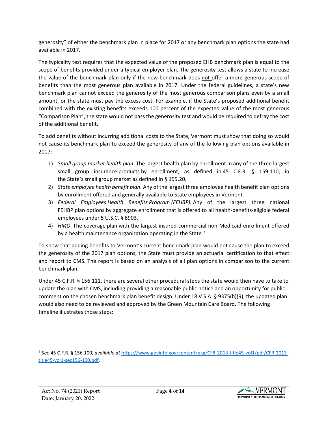generosity" of either the benchmark plan in place for 2017 or any benchmark plan options the state had available in 2017.

The typicality test requires that the expected value of the proposed EHB benchmark plan is equal to the scope of benefits provided under a typical employer plan. The generosity test allows a state to increase the value of the benchmark plan only if the new benchmark does not offer a more generous scope of benefits than the most generous plan available in 2017. Under the federal guidelines, a state's new benchmark plan cannot exceed the generosity of the most generous comparison plans even by a small amount, or the state must pay the excess cost. For example, if the State's proposed additional benefit combined with the existing benefits exceeds 100 percent of the expected value of the most generous "Comparison Plan", the state would not pass the generosity test and would be required to defray the cost of the additional benefit.

To add benefits without incurring additional costs to the State, Vermont must show that doing so would not cause its benchmark plan to exceed the generosity of any of the following plan options available in 2017:

- 1) *Small group market health plan*. The largest health [plan](https://www.law.cornell.edu/definitions/index.php?width=840&height=800&iframe=true&def_id=2b74e43866fc5b8f1f15155c434c7c1d&term_occur=999&term_src=Title:45:Chapter:A:Subchapter:B:Part:156:Subpart:B:156.100) by enrollment in any of the three largest small group insurance [products](https://www.law.cornell.edu/definitions/index.php?width=840&height=800&iframe=true&def_id=480e7a6bb86aedc7a3b3df4af1f60326&term_occur=999&term_src=Title:45:Chapter:A:Subchapter:B:Part:156:Subpart:B:156.100) by enrollment, as defined in 45 C.F.R. [§ 159.110,](https://www.law.cornell.edu/cfr/text/45/159.110) in the [State'](https://www.law.cornell.edu/definitions/index.php?width=840&height=800&iframe=true&def_id=1dabc8d1dcd88d8204dc7fa28a38a762&term_occur=999&term_src=Title:45:Chapter:A:Subchapter:B:Part:156:Subpart:B:156.100)s [small group market](https://www.law.cornell.edu/definitions/index.php?width=840&height=800&iframe=true&def_id=4f45a7bce5d1af4dc24f4ec36e6dcb82&term_occur=999&term_src=Title:45:Chapter:A:Subchapter:B:Part:156:Subpart:B:156.100) as defined in [§ 155.20.](https://www.law.cornell.edu/cfr/text/45/155.20)
- 2) *State employee health benefit plan*. Any of the largest three employee health benefit [plan](https://www.law.cornell.edu/definitions/index.php?width=840&height=800&iframe=true&def_id=2b74e43866fc5b8f1f15155c434c7c1d&term_occur=999&term_src=Title:45:Chapter:A:Subchapter:B:Part:156:Subpart:B:156.100) options by enrollment offered and generally available to [State](https://www.law.cornell.edu/definitions/index.php?width=840&height=800&iframe=true&def_id=1dabc8d1dcd88d8204dc7fa28a38a762&term_occur=999&term_src=Title:45:Chapter:A:Subchapter:B:Part:156:Subpart:B:156.100) employees in Vermont.
- 3) *Federal Employees [Health Benefits](https://www.law.cornell.edu/definitions/index.php?width=840&height=800&iframe=true&def_id=7877abaa9ca0f28a97952f38d3912949&term_occur=999&term_src=Title:45:Chapter:A:Subchapter:B:Part:156:Subpart:B:156.100) [Program](https://www.law.cornell.edu/definitions/index.php?width=840&height=800&iframe=true&def_id=d7feb22d10f4e484fc44f7ad02264069&term_occur=999&term_src=Title:45:Chapter:A:Subchapter:B:Part:156:Subpart:B:156.100) (FEHBP).* Any of the largest three national FEHBP [plan](https://www.law.cornell.edu/definitions/index.php?width=840&height=800&iframe=true&def_id=2b74e43866fc5b8f1f15155c434c7c1d&term_occur=999&term_src=Title:45:Chapter:A:Subchapter:B:Part:156:Subpart:B:156.100) options by aggregate enrollment that is offered to all health-benefits-eligible federal employees under [5 U.S.C.](https://www.law.cornell.edu/uscode/text/5/8903) § 8903.
- 4) *HMO*. The coverage [plan](https://www.law.cornell.edu/definitions/index.php?width=840&height=800&iframe=true&def_id=2b74e43866fc5b8f1f15155c434c7c1d&term_occur=999&term_src=Title:45:Chapter:A:Subchapter:B:Part:156:Subpart:B:156.100) with the largest insured commercial non-Medicaid enrollment offered by a [health maintenance organization](https://www.law.cornell.edu/definitions/index.php?width=840&height=800&iframe=true&def_id=c82cb6271c27a8a306415431c29383ec&term_occur=999&term_src=Title:45:Chapter:A:Subchapter:B:Part:156:Subpart:B:156.100) operating in the [State.](https://www.law.cornell.edu/definitions/index.php?width=840&height=800&iframe=true&def_id=1dabc8d1dcd88d8204dc7fa28a38a762&term_occur=999&term_src=Title:45:Chapter:A:Subchapter:B:Part:156:Subpart:B:156.100)<sup>[3](#page-4-0)</sup>

To show that adding benefits to Vermont's current benchmark plan would not cause the plan to exceed the generosity of the 2017 plan options, the State must provide an actuarial certification to that effect and report to CMS. The report is based on an analysis of all plan options in comparison to the current benchmark plan.

Under 45 C.F.R. § 156.111, there are several other procedural steps the state would then have to take to update the plan with CMS, including providing a reasonable public notice and an opportunity for public comment on the chosen benchmark plan benefit design. Under 18 V.S.A. § 9375(b)(9), the updated plan would also need to be reviewed and approved by the Green Mountain Care Board. The following timeline illustrates those steps:



<span id="page-4-0"></span><sup>3</sup> *See* 45 C.F.R. § 156.100, *available at* [https://www.govinfo.gov/content/pkg/CFR-2013-title45-vol1/pdf/CFR-2013](https://www.govinfo.gov/content/pkg/CFR-2013-title45-vol1/pdf/CFR-2013-title45-vol1-sec156-100.pdf) [title45-vol1-sec156-100.pdf.](https://www.govinfo.gov/content/pkg/CFR-2013-title45-vol1/pdf/CFR-2013-title45-vol1-sec156-100.pdf)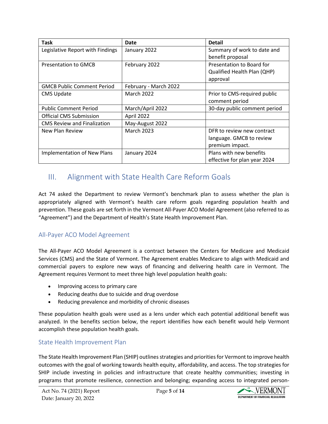| <b>Task</b>                        | Date                  | Detail                       |
|------------------------------------|-----------------------|------------------------------|
| Legislative Report with Findings   | January 2022          | Summary of work to date and  |
|                                    |                       | benefit proposal             |
| <b>Presentation to GMCB</b>        | February 2022         | Presentation to Board for    |
|                                    |                       | Qualified Health Plan (QHP)  |
|                                    |                       | approval                     |
| <b>GMCB Public Comment Period</b>  | February - March 2022 |                              |
| <b>CMS Update</b>                  | <b>March 2022</b>     | Prior to CMS-required public |
|                                    |                       | comment period               |
| <b>Public Comment Period</b>       | March/April 2022      | 30-day public comment period |
| <b>Official CMS Submission</b>     | April 2022            |                              |
| <b>CMS Review and Finalization</b> | May-August 2022       |                              |
| New Plan Review                    | <b>March 2023</b>     | DFR to review new contract   |
|                                    |                       | language. GMCB to review     |
|                                    |                       | premium impact.              |
| <b>Implementation of New Plans</b> | January 2024          | Plans with new benefits      |
|                                    |                       | effective for plan year 2024 |

## <span id="page-5-0"></span>III. Alignment with State Health Care Reform Goals

Act 74 asked the Department to review Vermont's benchmark plan to assess whether the plan is appropriately aligned with Vermont's health care reform goals regarding population health and prevention. These goals are set forth in the Vermont All-Payer ACO Model Agreement (also referred to as "Agreement") and the Department of Health's State Health Improvement Plan.

#### <span id="page-5-1"></span>All-Payer ACO Model Agreement

The All-Payer ACO Model Agreement is a contract between the Centers for Medicare and Medicaid Services (CMS) and the State of Vermont. The Agreement enables Medicare to align with Medicaid and commercial payers to explore new ways of financing and delivering health care in Vermont. The Agreement requires Vermont to meet three high level population health goals:

- Improving access to primary care
- Reducing deaths due to suicide and drug overdose
- Reducing prevalence and morbidity of chronic diseases

These population health goals were used as a lens under which each potential additional benefit was analyzed. In the benefits section below, the report identifies how each benefit would help Vermont accomplish these population health goals.

#### <span id="page-5-2"></span>State Health Improvement Plan

The State Health Improvement Plan (SHIP) outlines strategies and priorities for Vermont to improve health outcomes with the goal of working towards health equity, affordability, and access. The top strategies for SHIP include investing in policies and infrastructure that create healthy communities; investing in programs that promote resilience, connection and belonging; expanding access to integrated person-

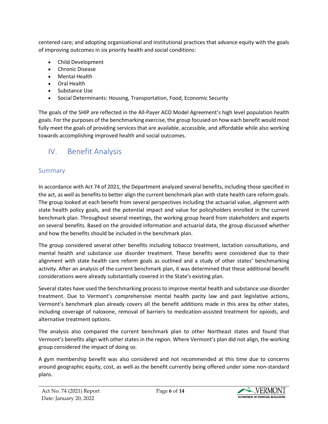centered care; and adopting organizational and institutional practices that advance equity with the goals of improving outcomes in six priority health and social conditions:

- Child Development
- Chronic Disease
- Mental Health
- Oral Health
- Substance Use
- Social Determinants: Housing, Transportation, Food, Economic Security

The goals of the SHIP are reflected in the All-Payer ACO Model Agreement's high level population health goals. For the purposes of the benchmarking exercise, the group focused on how each benefit would most fully meet the goals of providing services that are available, accessible, and affordable while also working towards accomplishing improved health and social outcomes.

# <span id="page-6-0"></span>IV. Benefit Analysis

#### <span id="page-6-1"></span>Summary

In accordance with Act 74 of 2021, the Department analyzed several benefits, including those specified in the act, as well as benefits to better align the current benchmark plan with state health care reform goals. The group looked at each benefit from several perspectives including the actuarial value, alignment with state health policy goals, and the potential impact and value for policyholders enrolled in the current benchmark plan. Throughout several meetings, the working group heard from stakeholders and experts on several benefits. Based on the provided information and actuarial data, the group discussed whether and how the benefits should be included in the benchmark plan.

The group considered several other benefits including tobacco treatment, lactation consultations, and mental health and substance use disorder treatment. These benefits were considered due to their alignment with state health care reform goals as outlined and a study of other states' benchmarking activity. After an analysis of the current benchmark plan, it was determined that these additional benefit considerations were already substantially covered in the State's existing plan.

Several states have used the benchmarking process to improve mental health and substance use disorder treatment. Due to Vermont's comprehensive mental health parity law and past legislative actions, Vermont's benchmark plan already covers all the benefit additions made in this area by other states, including coverage of naloxone, removal of barriers to medication-assisted treatment for opioids, and alternative treatment options.

The analysis also compared the current benchmark plan to other Northeast states and found that Vermont's benefits align with other states in the region. Where Vermont's plan did not align, the working group considered the impact of doing so.

A gym membership benefit was also considered and not recommended at this time due to concerns around geographic equity, cost, as well as the benefit currently being offered under some non-standard plans.

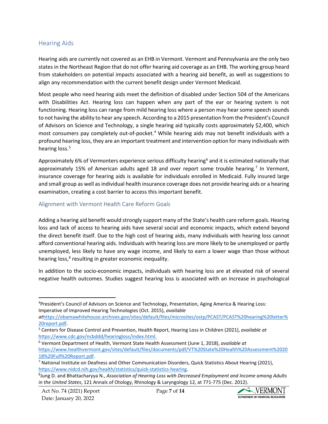#### <span id="page-7-0"></span>Hearing Aids

Hearing aids are currently not covered as an EHB in Vermont. Vermont and Pennsylvania are the only two states in the Northeast Region that do not offer hearing aid coverage as an EHB. The working group heard from stakeholders on potential impacts associated with a hearing aid benefit, as well as suggestions to align any recommendation with the current benefit design under Vermont Medicaid.

Most people who need hearing aids meet the definition of disabled under Section 504 of the Americans with Disabilities Act. Hearing loss can happen when any part of the ear or hearing system is not functioning. Hearing loss can range from mild hearing loss where a person may hear some speech sounds to not having the ability to hear any speech. According to a 2015 presentation from the President's Council of Advisors on Science and Technology, a single hearing aid typically costs approximately \$2,400, which most consumers pay completely out-of-pocket. [4](#page-7-2) While hearing aids may not benefit individuals with a profound hearing loss, they are an important treatment and intervention option for many individuals with hearing loss.<sup>[5](#page-7-3)</sup>

Approximately [6](#page-7-4)% of Vermonters experience serious difficulty hearing<sup>6</sup> and it is estimated nationally that approximately 15% of American adults aged 18 and over report some trouble hearing.<sup>[7](#page-7-5)</sup> In Vermont, insurance coverage for hearing aids is available for individuals enrolled in Medicaid. Fully insured large and small group as well as individual health insurance coverage does not provide hearing aids or a hearing examination, creating a cost barrier to access this important benefit.

#### <span id="page-7-1"></span>Alignment with Vermont Health Care Reform Goals

Adding a hearing aid benefit would strongly support many of the State's health care reform goals. Hearing loss and lack of access to hearing aids have several social and economic impacts, which extend beyond the direct benefit itself. Due to the high cost of hearing aids, many individuals with hearing loss cannot afford conventional hearing aids. Individuals with hearing loss are more likely to be unemployed or partly unemployed, less likely to have any wage income, and likely to earn a lower wage than those without hearing loss,<sup>[8](#page-7-6)</sup> resulting in greater economic inequality.

In addition to the socio-economic impacts, individuals with hearing loss are at elevated risk of several negative health outcomes. Studies suggest hearing loss is associated with an increase in psychological



<span id="page-7-2"></span><sup>4</sup> President's Council of Advisors on Science and Technology, Presentation, Aging America & Hearing Loss: Imperative of Improved Hearing Technologies (Oct. 2015), *available*

*at*[https://obamawhitehouse.archives.gov/sites/default/files/microsites/ostp/PCAST/PCAST%20hearing%20letter%](https://obamawhitehouse.archives.gov/sites/default/files/microsites/ostp/PCAST/PCAST%20hearing%20letter%20report.pdf) [20report.pdf.](https://obamawhitehouse.archives.gov/sites/default/files/microsites/ostp/PCAST/PCAST%20hearing%20letter%20report.pdf)

<span id="page-7-3"></span><sup>5</sup> Centers for Disease Control and Prevention, Health Report, Hearing Loss in Children (2021), *available at* [https://www.cdc.gov/ncbddd/hearingloss/index.html.](https://www.cdc.gov/ncbddd/hearingloss/index.html) 6 Vermont Department of Health, Vermont State Health Assessment (June 1, 2018), *available at* 

<span id="page-7-4"></span>[https://www.healthvermont.gov/sites/default/files/documents/pdf/VT%20State%20Health%20Assessment%2020](https://www.healthvermont.gov/sites/default/files/documents/pdf/VT%20State%20Health%20Assessment%202018%20Full%20Report.pdf) [18%20Full%20Report.pdf.](https://www.healthvermont.gov/sites/default/files/documents/pdf/VT%20State%20Health%20Assessment%202018%20Full%20Report.pdf)

<span id="page-7-5"></span><sup>&</sup>lt;sup>7</sup> National Institute on Deafness and Other Communication Disorders, Quick Statistics About Hearing (2021), [https://www.nidcd.nih.gov/health/statistics/quick-statistics-hearing.](https://www.nidcd.nih.gov/health/statistics/quick-statistics-hearing) 8

<span id="page-7-6"></span><sup>&</sup>lt;sup>8</sup> Jung D. and Bhattacharyya N., *Association of Hearing Loss with Decreased Employment and Income among Adults in the United States*, 121 Annals of Otology, Rhinology & Laryngology 12, at 771-775 (Dec. 2012).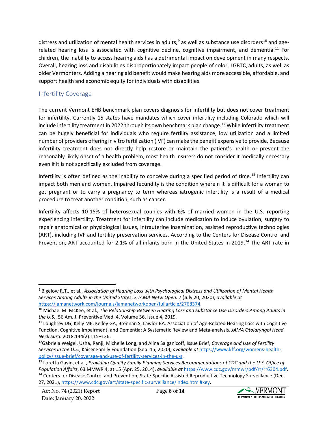distress and utilization of mental health services in adults,<sup>[9](#page-8-1)</sup> as well as substance use disorders<sup>[10](#page-8-2)</sup> and age-related hearing loss is associated with cognitive decline, cognitive impairment, and dementia.<sup>[11](#page-8-3)</sup> For children, the inability to access hearing aids has a detrimental impact on development in many respects. Overall, hearing loss and disabilities disproportionately impact people of color, LGBTQ adults, as well as older Vermonters. Adding a hearing aid benefit would make hearing aids more accessible, affordable, and support health and economic equity for individuals with disabilities.

#### <span id="page-8-0"></span>Infertility Coverage

The current Vermont EHB benchmark plan covers diagnosis for infertility but does not cover treatment for infertility. Currently 15 states have mandates which cover infertility including Colorado which will include infertility treatment in 2022 through its own benchmark plan change.<sup>[12](#page-8-4)</sup> While infertility treatment can be hugely beneficial for individuals who require fertility assistance, low utilization and a limited number of providers offering in vitro fertilization (IVF) can make the benefit expensive to provide. Because infertility treatment does not directly help restore or maintain the patient's health or prevent the reasonably likely onset of a health problem, most health insurers do not consider it medically necessary even if it is not specifically excluded from coverage.

Infertility is often defined as the inability to conceive during a specified period of time.<sup>[13](#page-8-5)</sup> Infertility can impact both men and women. Impaired fecundity is the condition wherein it is difficult for a woman to get pregnant or to carry a pregnancy to term whereas iatrogenic infertility is a result of a medical procedure to treat another condition, such as cancer.

Infertility affects 10-15% of heterosexual couples with 6% of married women in the U.S. reporting experiencing infertility. Treatment for infertility can include medication to induce ovulation, surgery to repair anatomical or physiological issues, intrauterine insemination, assisted reproductive technologies (ART), including IVF and fertility preservation services. According to the Centers for Disease Control and Prevention, ART accounted for 2.1% of all infants born in the United States in 2019.<sup>[14](#page-8-6)</sup> The ART rate in



<span id="page-8-1"></span><sup>9</sup> Bigelow R.T., et al., *Association of Hearing Loss with Psychological Distress and Utilization of Mental Health Services Among Adults in the United States*, 3 *JAMA Netw Open.* 7 (July 20, 2020), *available at*  [https://jamanetwork.com/journals/jamanetworkopen/fullarticle/2768374.](https://jamanetwork.com/journals/jamanetworkopen/fullarticle/2768374)

<span id="page-8-2"></span><sup>10</sup> Michael M. McKee, et al., *The Relationship Between Hearing Loss and Substance Use Disorders Among Adults in the U.S.*, 56 Am. J. Preventive Med. 4, Volume 56, Issue 4, 2019.

<span id="page-8-3"></span><sup>&</sup>lt;sup>11</sup> Loughrey DG, Kelly ME, Kelley GA, Brennan S, Lawlor BA. Association of Age-Related Hearing Loss with Cognitive Function, Cognitive Impairment, and Dementia: A Systematic Review and Meta-analysis. *JAMA Otolaryngol Head Neck Surg.* 2018;144(2):115–126.<br><sup>12</sup>Gabriela Weigel, Usha, Ranji, Michelle Long, and Alina Salganicoff, Issue Brief, *Coverage and Use of Fertility* 

<span id="page-8-4"></span>*Services in the U.S.*, Kaiser Family Foundation (Sep. 15, 2020), *available at* [https://www.kff.org/womens-health](https://www.kff.org/womens-health-policy/issue-brief/coverage-and-use-of-fertility-services-in-the-u-s)[policy/issue-brief/coverage-and-use-of-fertility-services-in-the-u-s.](https://www.kff.org/womens-health-policy/issue-brief/coverage-and-use-of-fertility-services-in-the-u-s)<br><sup>13</sup> Loretta Gavin, et al., *Providing Quality Family Planning Services Recommendations of CDC and the U.S. Office of* 

<span id="page-8-6"></span><span id="page-8-5"></span>*Population Affairs*, 63 MMWR 4, at 15 (Apr. 25, 2014), *available at* [https://www.cdc.gov/mmwr/pdf/rr/rr6304.pdf.](https://www.cdc.gov/mmwr/pdf/rr/rr6304.pdf) <sup>14</sup> Centers for Disease Control and Prevention, State-Specific Assisted Reproductive Technology Surveillance (Dec. 27, 2021), [https://www.cdc.gov/art/state-specific-surveillance/index.html#key.](https://www.cdc.gov/art/state-specific-surveillance/index.html#key)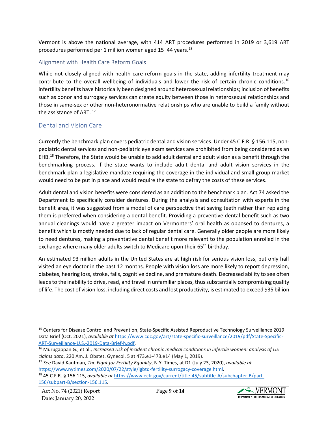Vermont is above the national average, with 414 ART procedures performed in 2019 or 3,619 ART procedures performed per 1 million women aged 15–44 years. [15](#page-9-2)

#### <span id="page-9-0"></span>Alignment with Health Care Reform Goals

While not closely aligned with health care reform goals in the state, adding infertility treatment may contribute to the overall wellbeing of individuals and lower the risk of certain chronic conditions.<sup>[16](#page-9-3)</sup> infertility benefits have historically been designed around heterosexual relationships; inclusion of benefits such as donor and surrogacy services can create equity between those in heterosexual relationships and those in same-sex or other non-heteronormative relationships who are unable to build a family without the assistance of ART.<sup>[17](#page-9-4)</sup>

#### <span id="page-9-1"></span>Dental and Vision Care

Currently the benchmark plan covers pediatric dental and vision services. Under 45 C.F.R. § 156.115, nonpediatric dental services and non-pediatric eye exam services are prohibited from being considered as an EHB.<sup>18</sup> Therefore, the State would be unable to add adult dental and adult vision as a benefit through the benchmarking process. If the state wants to include adult dental and adult vision services in the benchmark plan a legislative mandate requiring the coverage in the individual and small group market would need to be put in place and would require the state to defray the costs of these services.

Adult dental and vision benefits were considered as an addition to the benchmark plan. Act 74 asked the Department to specifically consider dentures. During the analysis and consultation with experts in the benefit area, it was suggested from a model of care perspective that saving teeth rather than replacing them is preferred when considering a dental benefit. Providing a preventive dental benefit such as two annual cleanings would have a greater impact on Vermonters' oral health as opposed to dentures, a benefit which is mostly needed due to lack of regular dental care. Generally older people are more likely to need dentures, making a preventative dental benefit more relevant to the population enrolled in the exchange where many older adults switch to Medicare upon their 65<sup>th</sup> birthday.

An estimated 93 million adults in the United States are at high risk for serious vision loss, but only half visited an eye doctor in the past 12 months. People with vision loss are more likely to report depression, diabetes, hearing loss, stroke, falls, cognitive decline, and premature death. Decreased ability to see often leads to the inability to drive, read, and travel in unfamiliar places, thus substantially compromising quality of life. The cost of vision loss, including direct costs and lost productivity, is estimated to exceed \$35 billion



<span id="page-9-2"></span><sup>&</sup>lt;sup>15</sup> Centers for Disease Control and Prevention, State-Specific Assisted Reproductive Technology Surveillance 2019 Data Brief (Oct. 2021), *available at* [https://www.cdc.gov/art/state-specific-surveillance/2019/pdf/State-Specific-](https://www.cdc.gov/art/state-specific-surveillance/2019/pdf/State-Specific-ART-Surveillance-U.S.-2019-Data-Brief-h.pdf)ART-Surveillance-U.S.-2019-Data-Brief-h.pdf.<br><sup>16</sup> Murugappan G., et al., *Increased risk of incident chronic medical conditions in infertile women: analysis of US* 

<span id="page-9-3"></span>*claims data*, 220 Am. J. Obstet. Gynecol. 5 at 473.e1-473.e14 (May 1, 2019).

<span id="page-9-4"></span><sup>17</sup> *See* David Kaufman, *The Fight for Fertility Equality*, N.Y. Times, at D1 (July 23, 2020), *available at* [https://www.nytimes.com/2020/07/22/style/lgbtq-fertility-surrogacy-coverage.html.](https://www.nytimes.com/2020/07/22/style/lgbtq-fertility-surrogacy-coverage.html) 18 45 C.F.R. § 156.115, *available at* [https://www.ecfr.gov/current/title-45/subtitle-A/subchapter-B/part-](https://www.ecfr.gov/current/title-45/subtitle-A/subchapter-B/part-156/subpart-B/section-156.115)

<span id="page-9-5"></span>[<sup>156/</sup>subpart-B/section-156.115.](https://www.ecfr.gov/current/title-45/subtitle-A/subchapter-B/part-156/subpart-B/section-156.115)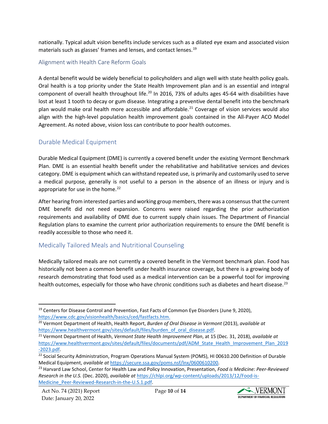nationally. Typical adult vision benefits include services such as a dilated eye exam and associated vision materials such as glasses' frames and lenses, and contact lenses.<sup>[19](#page-10-3)</sup>

#### <span id="page-10-0"></span>Alignment with Health Care Reform Goals

A dental benefit would be widely beneficial to policyholders and align well with state health policy goals. Oral health is a top priority under the State Health Improvement plan and is an essential and integral component of overall health throughout life.<sup>[20](#page-10-4)</sup> In 2016, 73% of adults ages 45-64 with disabilities have lost at least 1 tooth to decay or gum disease. Integrating a preventive dental benefit into the benchmark plan would make oral health more accessible and affordable. [21](#page-10-5) Coverage of vision services would also align with the high-level population health improvement goals contained in the All-Payer ACO Model Agreement. As noted above, vision loss can contribute to poor health outcomes.

#### <span id="page-10-1"></span>Durable Medical Equipment

Durable Medical Equipment (DME) is currently a covered benefit under the existing Vermont Benchmark Plan. DME is an essential health benefit under the rehabilitative and habilitative services and devices category. DME is equipment which can withstand repeated use, is primarily and customarily used to serve a medical purpose, generally is not useful to a person in the absence of an illness or injury and is appropriate for use in the home. $^{22}$  $^{22}$  $^{22}$ 

After hearing from interested parties and working group members, there was a consensus that the current DME benefit did not need expansion. Concerns were raised regarding the prior authorization requirements and availability of DME due to current supply chain issues. The Department of Financial Regulation plans to examine the current prior authorization requirements to ensure the DME benefit is readily accessible to those who need it.

#### <span id="page-10-2"></span>Medically Tailored Meals and Nutritional Counseling

Medically tailored meals are not currently a covered benefit in the Vermont benchmark plan. Food has historically not been a common benefit under health insurance coverage, but there is a growing body of research demonstrating that food used as a medical intervention can be a powerful tool for improving health outcomes, especially for those who have chronic conditions such as diabetes and heart disease.<sup>[23](#page-10-7)</sup>



<span id="page-10-3"></span><sup>&</sup>lt;sup>19</sup> Centers for Disease Control and Prevention, Fast Facts of Common Eye Disorders (June 9, 2020), [https://www.cdc.gov/visionhealth/basics/ced/fastfacts.htm.](https://www.cdc.gov/visionhealth/basics/ced/fastfacts.htm) 20 Vermont Department of Health, Health Report, *Burden of Oral Disease in Vermont* (2013), *available at*

<span id="page-10-4"></span>[https://www.healthvermont.gov/sites/default/files/burden\\_of\\_oral\\_disease.pdf.](https://www.healthvermont.gov/sites/default/files/burden_of_oral_disease.pdf) 21 Vermont Department of Health, *Vermont State Health Improvement Plan*, at 15 (Dec. 31, 2018), *available at*

<span id="page-10-5"></span>[https://www.healthvermont.gov/sites/default/files/documents/pdf/ADM\\_State\\_Health\\_Improvement\\_Plan\\_2019](https://www.healthvermont.gov/sites/default/files/documents/pdf/ADM_State_Health_Improvement_Plan_2019-2023.pdf) -2023.pdf.<br><sup>22</sup> Social Security Administration, Program Operations Manual System (POMS), HI 00610.200 Definition of Durable

<span id="page-10-6"></span>Medical Equipment, *available at* [https://secure.ssa.gov/poms.nsf/lnx/0600610200.](https://secure.ssa.gov/poms.nsf/lnx/0600610200)

<span id="page-10-7"></span><sup>23</sup> Harvard Law School, Center for Health Law and Policy Innovation, Presentation, *Food is Medicine: Peer-Reviewed Research in the U.S.* (Dec. 2020), *available at* [https://chlpi.org/wp-content/uploads/2013/12/Food-is-](https://chlpi.org/wp-content/uploads/2013/12/Food-is-Medicine_Peer-Reviewed-Research-in-the-U.S.1.pdf)[Medicine\\_Peer-Reviewed-Research-in-the-U.S.1.pdf.](https://chlpi.org/wp-content/uploads/2013/12/Food-is-Medicine_Peer-Reviewed-Research-in-the-U.S.1.pdf)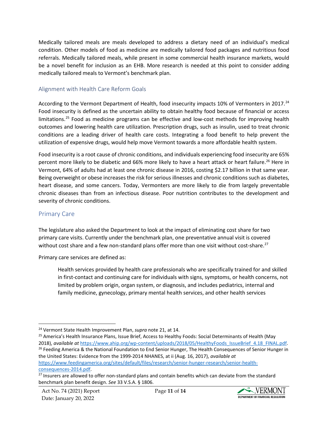Medically tailored meals are meals developed to address a dietary need of an individual's medical condition. Other models of food as medicine are medically tailored food packages and nutritious food referrals. Medically tailored meals, while present in some commercial health insurance markets, would be a novel benefit for inclusion as an EHB. More research is needed at this point to consider adding medically tailored meals to Vermont's benchmark plan.

#### <span id="page-11-0"></span>Alignment with Health Care Reform Goals

According to the Vermont Department of Health, food insecurity impacts 10% of Vermonters in 2017.<sup>[24](#page-11-2)</sup> Food insecurity is defined as the uncertain ability to obtain healthy food because of financial or access limitations.<sup>[25](#page-11-3)</sup> Food as medicine programs can be effective and low-cost methods for improving health outcomes and lowering health care utilization. Prescription drugs, such as insulin, used to treat chronic conditions are a leading driver of health care costs. Integrating a food benefit to help prevent the utilization of expensive drugs, would help move Vermont towards a more affordable health system.

Food insecurity is a root cause of chronic conditions, and individuals experiencing food insecurity are 65% percent more likely to be diabetic and 66% more likely to have a heart attack or heart failure.<sup>[26](#page-11-4)</sup> Here in Vermont, 64% of adults had at least one chronic disease in 2016, costing \$2.17 billion in that same year. Being overweight or obese increases the risk for serious illnesses and chronic conditions such as diabetes, heart disease, and some cancers. Today, Vermonters are more likely to die from largely preventable chronic diseases than from an infectious disease. Poor nutrition contributes to the development and severity of chronic conditions.

#### <span id="page-11-1"></span>Primary Care

The legislature also asked the Department to look at the impact of eliminating cost share for two primary care visits. Currently under the benchmark plan, one preventative annual visit is covered without cost share and a few non-standard plans offer more than one visit without cost-share.<sup>[27](#page-11-5)</sup>

Primary care services are defined as:

Health services provided by health care professionals who are specifically trained for and skilled in first-contact and continuing care for individuals with signs, symptoms, or health concerns, not limited by problem origin, organ system, or diagnosis, and includes pediatrics, internal and family medicine, gynecology, primary mental health services, and other health services

the United States: Evidence from the 1999-2014 NHANES, at ii (Aug. 16, 2017), *available at*  [https://www.feedingamerica.org/sites/default/files/research/senior-hunger-research/senior-health-](https://www.feedingamerica.org/sites/default/files/research/senior-hunger-research/senior-health-consequences-2014.pdf)



<span id="page-11-2"></span><sup>24</sup> Vermont State Health Improvement Plan, *supra* note 21, at 14.

<span id="page-11-3"></span><sup>25</sup> America's Health Insurance Plans, Issue Brief, Access to Healthy Foods: Social Determinants of Health (May

<span id="page-11-4"></span><sup>2018),</sup> available at https://www.ahip.org/wp-content/uploads/2018/05/HealthyFoods\_IssueBrief\_4.18\_FINAL.pdf.<br><sup>26</sup> Feeding America & the National Foundation to End Senior Hunger, The Health Consequences of Senior Hunger in

<span id="page-11-5"></span>[consequences-2014.pdf.](https://www.feedingamerica.org/sites/default/files/research/senior-hunger-research/senior-health-consequences-2014.pdf)<br><sup>27</sup> Insurers are allowed to offer non-standard plans and contain benefits which can deviate from the standard benchmark plan benefit design. *See* 33 V.S.A. § 1806.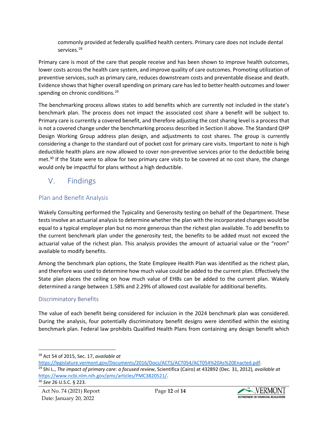commonly provided at federally qualified health centers. Primary care does not include dental services.[28](#page-12-3)

Primary care is most of the care that people receive and has been shown to improve health outcomes, lower costs across the health care system, and improve quality of care outcomes. Promoting utilization of preventive services, such as primary care, reduces downstream costs and preventable disease and death. Evidence shows that higher overall spending on primary care has led to better health outcomes and lower spending on chronic conditions.<sup>[29](#page-12-4)</sup>

The benchmarking process allows states to add benefits which are currently not included in the state's benchmark plan. The process does not impact the associated cost share a benefit will be subject to. Primary care is currently a covered benefit, and therefore adjusting the cost sharing level is a process that is not a covered change under the benchmarking process described in Section II above. The Standard QHP Design Working Group address plan design, and adjustments to cost shares. The group is currently considering a change to the standard out of pocket cost for primary care visits. Important to note is high deductible health plans are now allowed to cover non-preventive services prior to the deductible being met.<sup>[30](#page-12-5)</sup> If the State were to allow for two primary care visits to be covered at no cost share, the change would only be impactful for plans without a high deductible.

# <span id="page-12-0"></span>V. Findings

#### <span id="page-12-1"></span>Plan and Benefit Analysis

Wakely Consulting performed the Typicality and Generosity testing on behalf of the Department. These tests involve an actuarial analysis to determine whether the plan with the incorporated changes would be equal to a typical employer plan but no more generous than the richest plan available. To add benefits to the current benchmark plan under the generosity test, the benefits to be added must not exceed the actuarial value of the richest plan. This analysis provides the amount of actuarial value or the "room" available to modify benefits.

Among the benchmark plan options, the State Employee Health Plan was identified as the richest plan, and therefore was used to determine how much value could be added to the current plan. Effectively the State plan places the ceiling on how much value of EHBs can be added to the current plan. Wakely determined a range between 1.58% and 2.29% of allowed cost available for additional benefits.

#### <span id="page-12-2"></span>Discriminatory Benefits

The value of each benefit being considered for inclusion in the 2024 benchmark plan was considered. During the analysis, four potentially discriminatory benefit designs were identified within the existing benchmark plan. Federal law prohibits Qualified Health Plans from containing any design benefit which



<span id="page-12-3"></span><sup>28</sup> Act 54 of 2015, Sec. 17, *available at*

<span id="page-12-4"></span>[https://legislature.vermont.gov/Documents/2016/Docs/ACTS/ACT054/ACT054%20As%20Enacted.pdf.](https://legislature.vermont.gov/Documents/2016/Docs/ACTS/ACT054/ACT054%20As%20Enacted.pdf) 29 Shi L., *The impact of primary care: a focused review*, Scientifica (Cairo) at 432892 (Dec. 31, 2012)*, available at* [https://www.ncbi.nlm.nih.gov/pmc/articles/PMC3820521/.](https://www.ncbi.nlm.nih.gov/pmc/articles/PMC3820521/) 30 *[See](https://www.law.cornell.edu/uscode/text/26/223)* 26 U.S.C. § 223.

<span id="page-12-5"></span>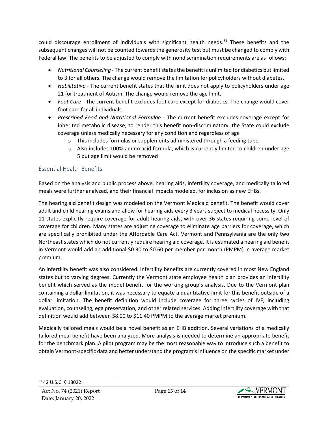could discourage enrollment of individuals with significant health needs. $31$  These benefits and the subsequent changes will not be counted towards the generosity test but must be changed to comply with Federal law. The benefits to be adjusted to comply with nondiscrimination requirements are as follows:

- *Nutritional Counseling* The current benefit states the benefit is unlimited for diabetics but limited to 3 for all others. The change would remove the limitation for policyholders without diabetes.
- *Habilitative* The current benefit states that the limit does not apply to policyholders under age 21 for treatment of Autism. The change would remove the age limit.
- *Foot Care* The current benefit excludes foot care except for diabetics. The change would cover foot care for all individuals.
- *Prescribed Food and Nutritional Formulae* The current benefit excludes coverage except for inherited metabolic disease; to render this benefit non-discriminatory, the State could exclude coverage unless medically necessary for any condition and regardless of age
	- $\circ$  This includes formulas or supplements administered through a feeding tube
	- $\circ$  Also includes 100% amino acid formula, which is currently limited to children under age 5 but age limit would be removed

#### <span id="page-13-0"></span>Essential Health Benefits

Based on the analysis and public process above, hearing aids, infertility coverage, and medically tailored meals were further analyzed, and their financial impacts modeled, for inclusion as new EHBs.

The hearing aid benefit design was modeled on the Vermont Medicaid benefit. The benefit would cover adult and child hearing exams and allow for hearing aids every 3 years subject to medical necessity. Only 11 states explicitly require coverage for adult hearing aids, with over 36 states requiring some level of coverage for children. Many states are adjusting coverage to eliminate age barriers for coverage, which are specifically prohibited under the Affordable Care Act. Vermont and Pennsylvania are the only two Northeast states which do not currently require hearing aid coverage. It is estimated a hearing aid benefit in Vermont would add an additional \$0.30 to \$0.60 per member per month (PMPM) in average market premium.

An infertility benefit was also considered. Infertility benefits are currently covered in most New England states but to varying degrees. Currently the Vermont state employee health plan provides an infertility benefit which served as the model benefit for the working group's analysis. Due to the Vermont plan containing a dollar limitation, it was necessary to equate a quantitative limit for this benefit outside of a dollar limitation. The benefit definition would include coverage for three cycles of IVF, including evaluation, counseling, egg preservation, and other related services. Adding infertility coverage with that definition would add between \$8.00 to \$11.40 PMPM to the average market premium.

Medically tailored meals would be a novel benefit as an EHB addition. Several variations of a medically tailored meal benefit have been analyzed. More analysis is needed to determine an appropriate benefit for the benchmark plan. A pilot program may be the most reasonable way to introduce such a benefit to obtain Vermont-specific data and better understand the program'sinfluence on the specific market under



<span id="page-13-1"></span><sup>31</sup> 42 U.S.C. § 18022.